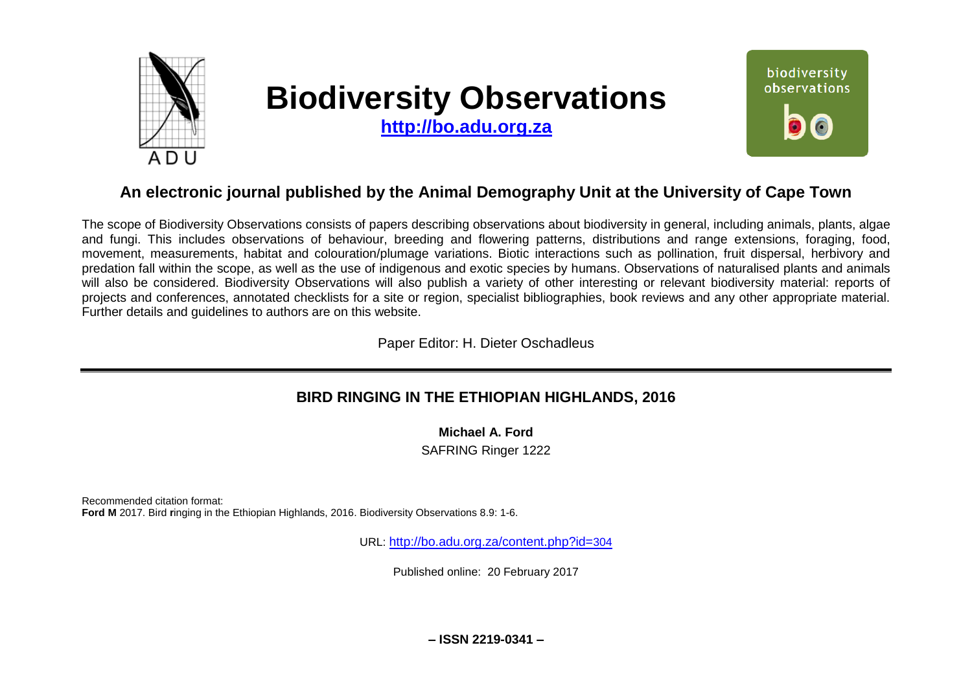

# **Biodiversity Observations**

**[http://bo.adu.org.za](http://bo.adu.org.za/)**



## **An electronic journal published by the Animal Demography Unit at the University of Cape Town**

The scope of Biodiversity Observations consists of papers describing observations about biodiversity in general, including animals, plants, algae and fungi. This includes observations of behaviour, breeding and flowering patterns, distributions and range extensions, foraging, food, movement, measurements, habitat and colouration/plumage variations. Biotic interactions such as pollination, fruit dispersal, herbivory and predation fall within the scope, as well as the use of indigenous and exotic species by humans. Observations of naturalised plants and animals will also be considered. Biodiversity Observations will also publish a variety of other interesting or relevant biodiversity material: reports of projects and conferences, annotated checklists for a site or region, specialist bibliographies, book reviews and any other appropriate material. Further details and guidelines to authors are on this website.

Paper Editor: H. Dieter Oschadleus

## **BIRD RINGING IN THE ETHIOPIAN HIGHLANDS, 2016**

**Michael A. Ford** 

SAFRING Ringer 1222

Recommended citation format: **Ford M** 2017. Bird **r**inging in the Ethiopian Highlands, 2016. Biodiversity Observations 8.9: 1-6.

URL: [http://bo.adu.org.za/content.php?id=](http://bo.adu.org.za/content.php?id=304)304

Published online: 20 February 2017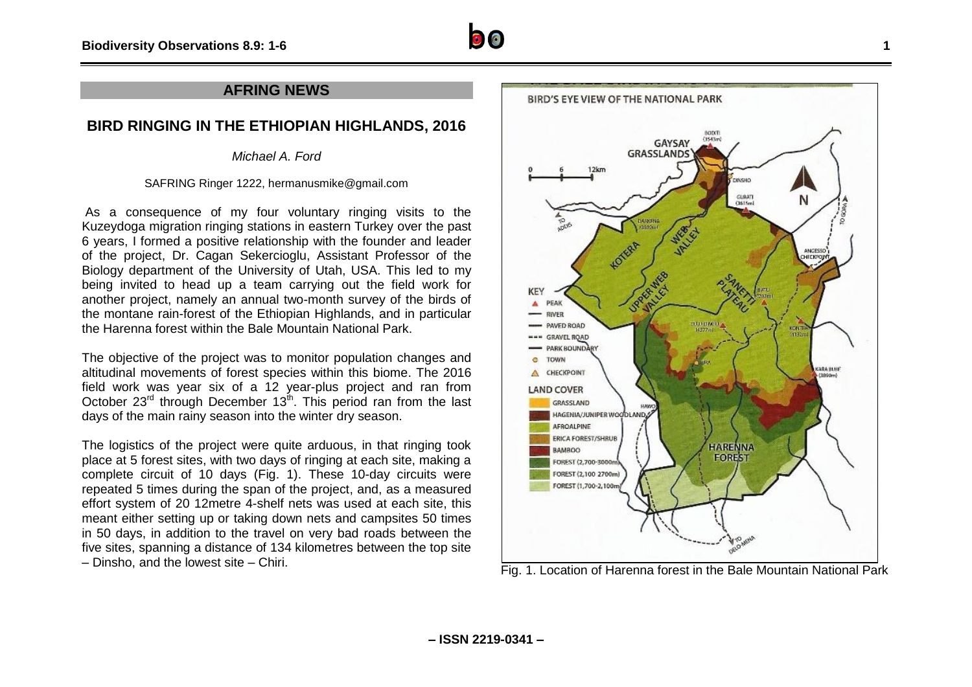

#### **AFRING NEWS**

### **BIRD RINGING IN THE ETHIOPIAN HIGHLANDS, 2016**

*Michael A. Ford*

SAFRING Ringer 1222, hermanusmike@gmail.com

As a consequence of my four voluntary ringing visits to the Kuzeydoga migration ringing stations in eastern Turkey over the past 6 years, I formed a positive relationship with the founder and leader of the project, Dr. Cagan Sekercioglu, Assistant Professor of the Biology department of the University of Utah, USA. This led to my being invited to head up a team carrying out the field work for another project, namely an annual two-month survey of the birds of the montane rain-forest of the Ethiopian Highlands, and in particular the Harenna forest within the Bale Mountain National Park.

The objective of the project was to monitor population changes and altitudinal movements of forest species within this biome. The 2016 field work was year six of a 12 year-plus project and ran from October 23<sup>rd</sup> through December 13<sup>th</sup>. This period ran from the last days of the main rainy season into the winter dry season.

The logistics of the project were quite arduous, in that ringing took place at 5 forest sites, with two days of ringing at each site, making a complete circuit of 10 days (Fig. 1). These 10-day circuits were repeated 5 times during the span of the project, and, as a measured effort system of 20 12metre 4-shelf nets was used at each site, this meant either setting up or taking down nets and campsites 50 times in 50 days, in addition to the travel on very bad roads between the five sites, spanning a distance of 134 kilometres between the top site – Dinsho, and the lowest site – Chiri.<br>Fig. 1. Location of Harenna forest in the Bale Mountain National Park

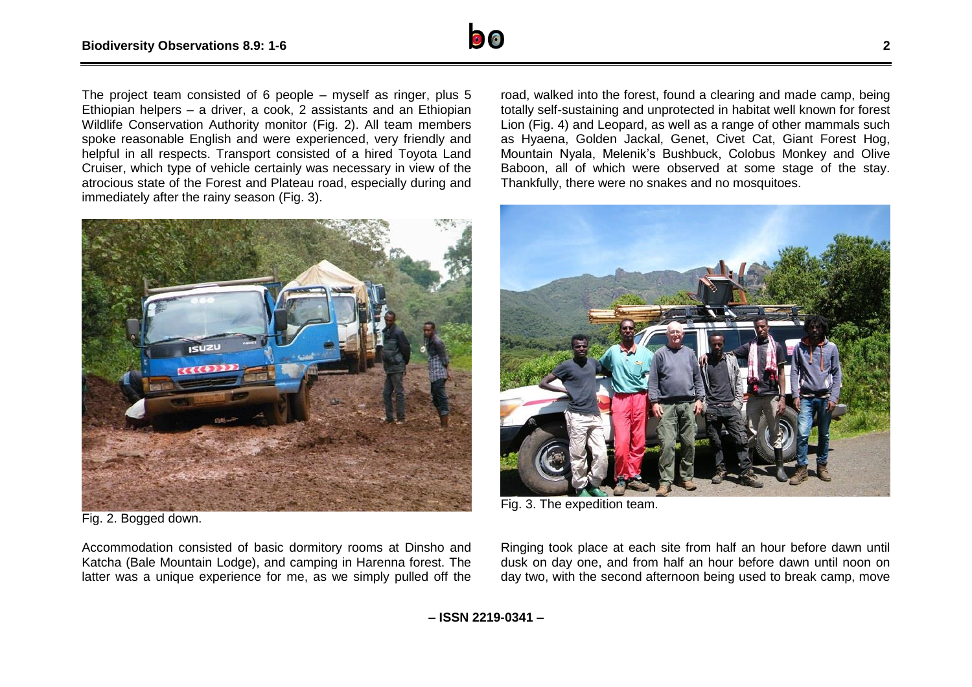

The project team consisted of 6 people – myself as ringer, plus 5 Ethiopian helpers – a driver, a cook, 2 assistants and an Ethiopian Wildlife Conservation Authority monitor (Fig. 2). All team members spoke reasonable English and were experienced, very friendly and helpful in all respects. Transport consisted of a hired Toyota Land Cruiser, which type of vehicle certainly was necessary in view of the atrocious state of the Forest and Plateau road, especially during and immediately after the rainy season (Fig. 3).



Fig. 2. Bogged down.

Accommodation consisted of basic dormitory rooms at Dinsho and Katcha (Bale Mountain Lodge), and camping in Harenna forest. The latter was a unique experience for me, as we simply pulled off the

road, walked into the forest, found a clearing and made camp, being totally self-sustaining and unprotected in habitat well known for forest Lion (Fig. 4) and Leopard, as well as a range of other mammals such as Hyaena, Golden Jackal, Genet, Civet Cat, Giant Forest Hog, Mountain Nyala, Melenik's Bushbuck, Colobus Monkey and Olive Baboon, all of which were observed at some stage of the stay. Thankfully, there were no snakes and no mosquitoes.



Fig. 3. The expedition team.

Ringing took place at each site from half an hour before dawn until dusk on day one, and from half an hour before dawn until noon on day two, with the second afternoon being used to break camp, move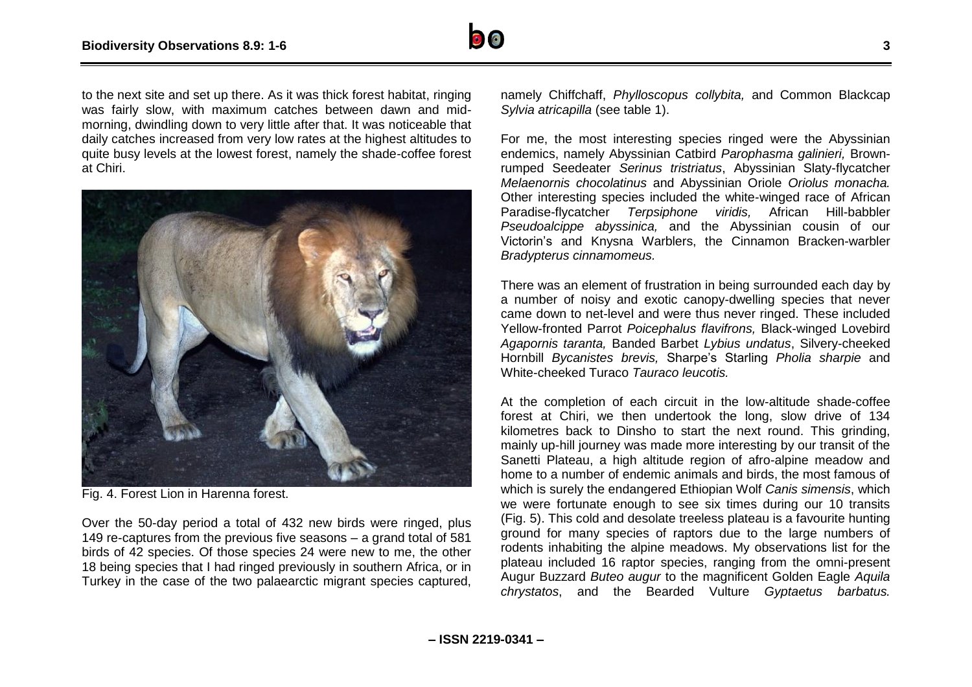

to the next site and set up there. As it was thick forest habitat, ringing was fairly slow, with maximum catches between dawn and midmorning, dwindling down to very little after that. It was noticeable that daily catches increased from very low rates at the highest altitudes to quite busy levels at the lowest forest, namely the shade-coffee forest at Chiri.



Fig. 4. Forest Lion in Harenna forest.

Over the 50-day period a total of 432 new birds were ringed, plus 149 re-captures from the previous five seasons – a grand total of 581 birds of 42 species. Of those species 24 were new to me, the other 18 being species that I had ringed previously in southern Africa, or in Turkey in the case of the two palaearctic migrant species captured,

namely Chiffchaff, *Phylloscopus collybita,* and Common Blackcap *Sylvia atricapilla* (see table 1).

For me, the most interesting species ringed were the Abyssinian endemics, namely Abyssinian Catbird *Parophasma galinieri,* Brownrumped Seedeater *Serinus tristriatus*, Abyssinian Slaty-flycatcher *Melaenornis chocolatinus* and Abyssinian Oriole *Oriolus monacha.* Other interesting species included the white-winged race of African Paradise-flycatcher *Terpsiphone viridis,* African Hill-babbler *Pseudoalcippe abyssinica,* and the Abyssinian cousin of our Victorin's and Knysna Warblers, the Cinnamon Bracken-warbler *Bradypterus cinnamomeus.* 

There was an element of frustration in being surrounded each day by a number of noisy and exotic canopy-dwelling species that never came down to net-level and were thus never ringed. These included Yellow-fronted Parrot *Poicephalus flavifrons,* Black-winged Lovebird *Agapornis taranta,* Banded Barbet *Lybius undatus*, Silvery-cheeked Hornbill *Bycanistes brevis,* Sharpe's Starling *Pholia sharpie* and White-cheeked Turaco *Tauraco leucotis.*

At the completion of each circuit in the low-altitude shade-coffee forest at Chiri, we then undertook the long, slow drive of 134 kilometres back to Dinsho to start the next round. This grinding, mainly up-hill journey was made more interesting by our transit of the Sanetti Plateau, a high altitude region of afro-alpine meadow and home to a number of endemic animals and birds, the most famous of which is surely the endangered Ethiopian Wolf *Canis simensis*, which we were fortunate enough to see six times during our 10 transits (Fig. 5). This cold and desolate treeless plateau is a favourite hunting ground for many species of raptors due to the large numbers of rodents inhabiting the alpine meadows. My observations list for the plateau included 16 raptor species, ranging from the omni-present Augur Buzzard *Buteo augur* to the magnificent Golden Eagle *Aquila chrystatos*, and the Bearded Vulture *Gyptaetus barbatus.*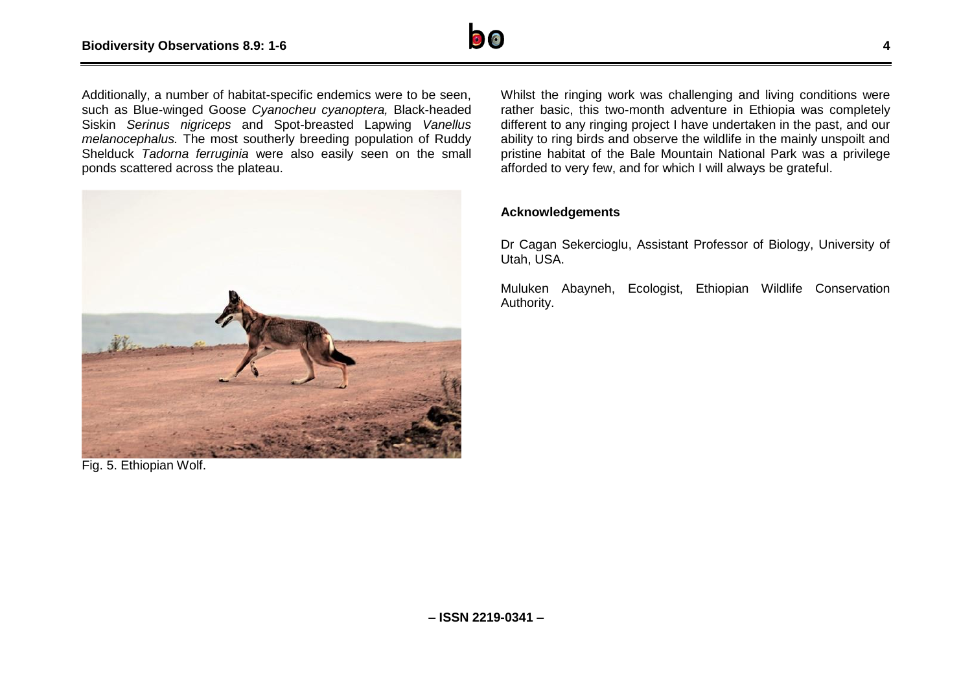

Additionally, a number of habitat-specific endemics were to be seen, such as Blue-winged Goose *Cyanocheu cyanoptera,* Black-headed Siskin *Serinus nigriceps* and Spot-breasted Lapwing *Vanellus melanocephalus.* The most southerly breeding population of Ruddy Shelduck *Tadorna ferruginia* were also easily seen on the small ponds scattered across the plateau.



Fig. 5. Ethiopian Wolf.

Whilst the ringing work was challenging and living conditions were rather basic, this two-month adventure in Ethiopia was completely different to any ringing project I have undertaken in the past, and our ability to ring birds and observe the wildlife in the mainly unspoilt and pristine habitat of the Bale Mountain National Park was a privilege afforded to very few, and for which I will always be grateful.

#### **Acknowledgements**

Dr Cagan Sekercioglu, Assistant Professor of Biology, University of Utah, USA.

Muluken Abayneh, Ecologist, Ethiopian Wildlife Conservation Authority.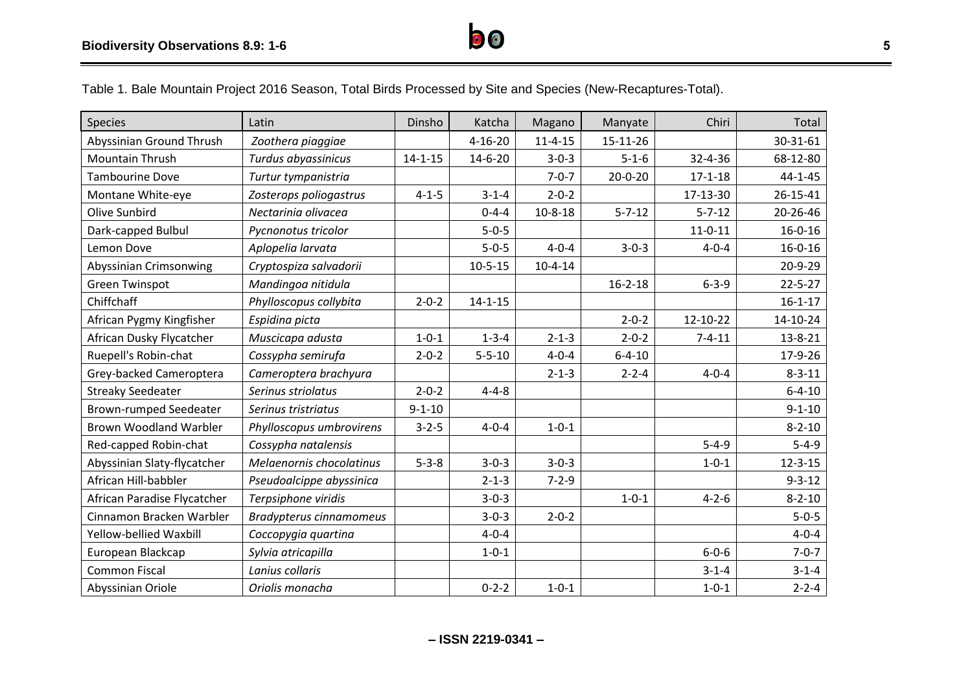

Table 1. Bale Mountain Project 2016 Season, Total Birds Processed by Site and Species (New-Recaptures-Total).

| <b>Species</b>                | Latin                          | Dinsho        | Katcha        | Magano        | Manyate       | Chiri         | Total         |
|-------------------------------|--------------------------------|---------------|---------------|---------------|---------------|---------------|---------------|
| Abyssinian Ground Thrush      | Zoothera piaggiae              |               | $4 - 16 - 20$ | $11 - 4 - 15$ | 15-11-26      |               | 30-31-61      |
| <b>Mountain Thrush</b>        | Turdus abyassinicus            | $14 - 1 - 15$ | $14 - 6 - 20$ | $3 - 0 - 3$   | $5 - 1 - 6$   | 32-4-36       | 68-12-80      |
| <b>Tambourine Dove</b>        | Turtur tympanistria            |               |               | $7 - 0 - 7$   | $20 - 0 - 20$ | $17 - 1 - 18$ | $44 - 1 - 45$ |
| Montane White-eye             | Zosterops poliogastrus         | $4 - 1 - 5$   | $3 - 1 - 4$   | $2 - 0 - 2$   |               | 17-13-30      | 26-15-41      |
| Olive Sunbird                 | Nectarinia olivacea            |               | $0 - 4 - 4$   | $10 - 8 - 18$ | $5 - 7 - 12$  | $5 - 7 - 12$  | 20-26-46      |
| Dark-capped Bulbul            | Pycnonotus tricolor            |               | $5 - 0 - 5$   |               |               | $11 - 0 - 11$ | $16 - 0 - 16$ |
| Lemon Dove                    | Aplopelia larvata              |               | $5 - 0 - 5$   | $4 - 0 - 4$   | $3 - 0 - 3$   | $4 - 0 - 4$   | $16 - 0 - 16$ |
| Abyssinian Crimsonwing        | Cryptospiza salvadorii         |               | $10 - 5 - 15$ | $10 - 4 - 14$ |               |               | 20-9-29       |
| <b>Green Twinspot</b>         | Mandingoa nitidula             |               |               |               | $16 - 2 - 18$ | $6 - 3 - 9$   | $22 - 5 - 27$ |
| Chiffchaff                    | Phylloscopus collybita         | $2 - 0 - 2$   | $14 - 1 - 15$ |               |               |               | $16 - 1 - 17$ |
| African Pygmy Kingfisher      | Espidina picta                 |               |               |               | $2 - 0 - 2$   | 12-10-22      | 14-10-24      |
| African Dusky Flycatcher      | Muscicapa adusta               | $1 - 0 - 1$   | $1 - 3 - 4$   | $2 - 1 - 3$   | $2 - 0 - 2$   | $7 - 4 - 11$  | $13 - 8 - 21$ |
| Ruepell's Robin-chat          | Cossypha semirufa              | $2 - 0 - 2$   | $5 - 5 - 10$  | $4 - 0 - 4$   | $6 - 4 - 10$  |               | 17-9-26       |
| Grey-backed Cameroptera       | Cameroptera brachyura          |               |               | $2 - 1 - 3$   | $2 - 2 - 4$   | $4 - 0 - 4$   | $8 - 3 - 11$  |
| <b>Streaky Seedeater</b>      | Serinus striolatus             | $2 - 0 - 2$   | $4 - 4 - 8$   |               |               |               | $6 - 4 - 10$  |
| <b>Brown-rumped Seedeater</b> | Serinus tristriatus            | $9 - 1 - 10$  |               |               |               |               | $9 - 1 - 10$  |
| <b>Brown Woodland Warbler</b> | Phylloscopus umbrovirens       | $3 - 2 - 5$   | $4 - 0 - 4$   | $1 - 0 - 1$   |               |               | $8 - 2 - 10$  |
| Red-capped Robin-chat         | Cossypha natalensis            |               |               |               |               | $5 - 4 - 9$   | $5 - 4 - 9$   |
| Abyssinian Slaty-flycatcher   | Melaenornis chocolatinus       | $5 - 3 - 8$   | $3 - 0 - 3$   | $3 - 0 - 3$   |               | $1 - 0 - 1$   | $12 - 3 - 15$ |
| African Hill-babbler          | Pseudoalcippe abyssinica       |               | $2 - 1 - 3$   | $7 - 2 - 9$   |               |               | $9 - 3 - 12$  |
| African Paradise Flycatcher   | Terpsiphone viridis            |               | $3 - 0 - 3$   |               | $1 - 0 - 1$   | $4 - 2 - 6$   | $8 - 2 - 10$  |
| Cinnamon Bracken Warbler      | <b>Bradypterus cinnamomeus</b> |               | $3 - 0 - 3$   | $2 - 0 - 2$   |               |               | $5 - 0 - 5$   |
| Yellow-bellied Waxbill        | Coccopygia quartina            |               | $4 - 0 - 4$   |               |               |               | $4 - 0 - 4$   |
| European Blackcap             | Sylvia atricapilla             |               | $1 - 0 - 1$   |               |               | $6 - 0 - 6$   | $7 - 0 - 7$   |
| <b>Common Fiscal</b>          | Lanius collaris                |               |               |               |               | $3 - 1 - 4$   | $3 - 1 - 4$   |
| Abyssinian Oriole             | Oriolis monacha                |               | $0 - 2 - 2$   | $1 - 0 - 1$   |               | $1 - 0 - 1$   | $2 - 2 - 4$   |